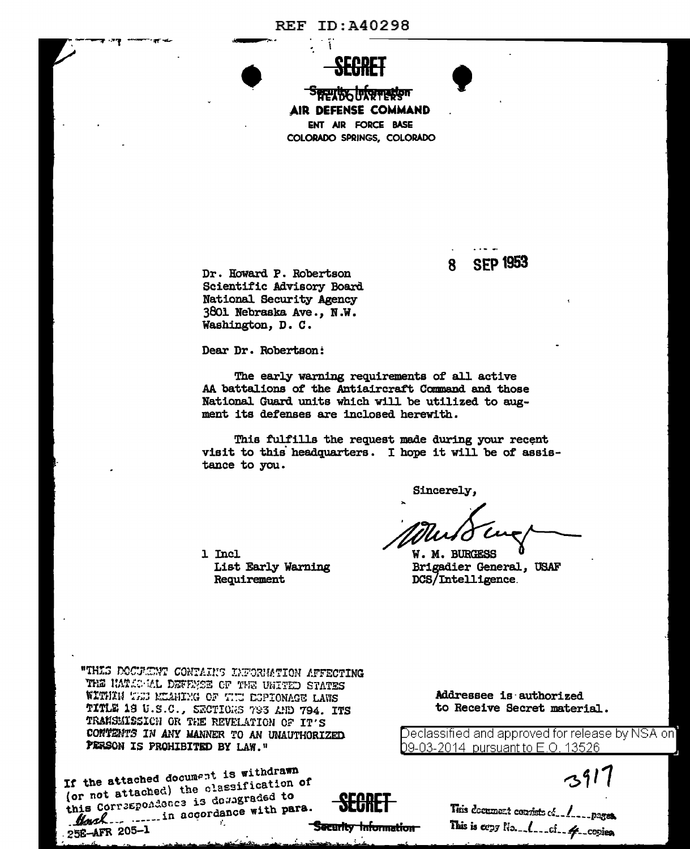## **REF ID: A40298**

់ប៊ុ



**Security Internation** AIR DEFENSE COMMAND ENT AIR FORCE BASE COLORADO SPRINGS, COLORADO

> **SEP 1953** 8

Dr. Howard P. Robertson Scientific Advisory Board National Security Agency 3801 Nebraska Ave., N.W. Washington, D. C.

Dear Dr. Robertson:

List Early Warning

Requirement

The early warning requirements of all active AA battalions of the Antiaircraft Command and those National Guard units which will be utilized to augment its defenses are inclosed herewith.

Security Information

This fulfills the request made during your recent visit to this headquarters. I hope it will be of assistance to you.

Sincerely.

W. M. BURGESS Brigadier General, USAF DCS/Intelligence.

"THIS DOCULENT CONTAINS INFORMATION AFFECTING THE HATIC ML DEFENSE OF THE UNITED STATES WITHIN TEST MEANING OF THE ESPIONAGE LAWS TITLE 18 U.S.C., SECTIONS 793 AND 794. ITS TRANSMISSION OR THE REVELATION OF IT'S CONTENTS IN ANY MANNER TO AN UNAUTHORIZED PERSON IS PROHIBITED BY LAW."

1 Incl

If the attached document is withdrawn (or not attached) the classification of this Correspondence is downgraded to Howsh ... ...... in accordance with para. Addressee is authorized to Receive Secret material.

Declassified and approved for release by NSA on] <u>b9-03-2014\_pursuant to E.O. 13526</u>

 $391$ 

This is copy No. 1. cf. 4. copies.

25E-AFR 205-1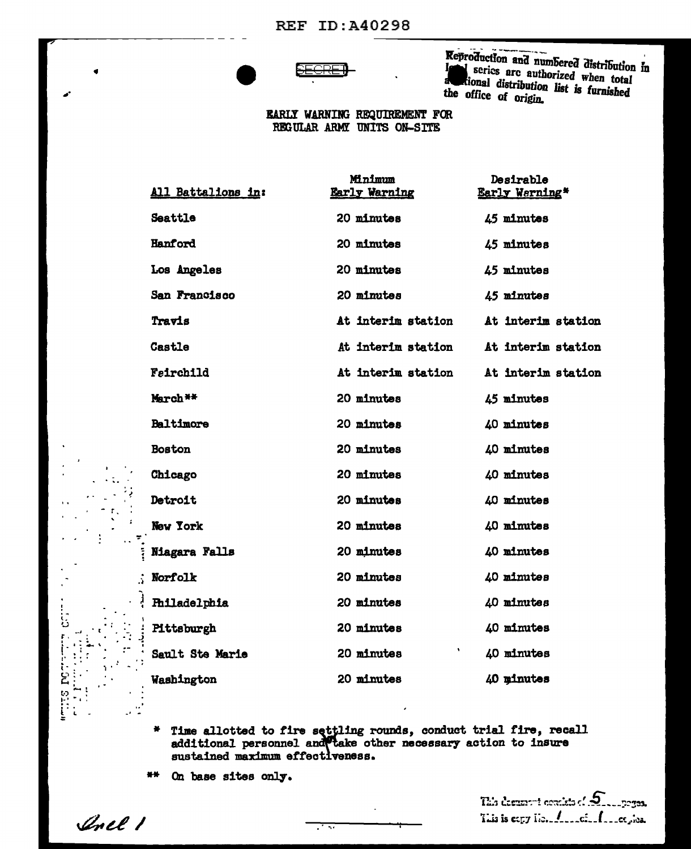

Reproduction and numbered distribution in series are authorized when total kional distribution list is furnished the office of origin.

## **EARLY WARNING REQUIREMENT FOR** REGULAR ARMY UNITS ON-SITE

|                              | Minimum              | Desirable             |
|------------------------------|----------------------|-----------------------|
| <u>All Battalions in:</u>    | <b>Early Warning</b> | <b>Early Warning*</b> |
| Seattle                      | 20 minutes           | 45 minutes            |
| Hanford                      | 20 minutes           | 45 minutes            |
| Los Angeles                  | 20 minutes           | 45 minutes            |
| San Francisco                | 20 minutes           | 45 minutes            |
| Travis                       | At interim station   | At interim station    |
| Castle                       | At interim station   | At interim station    |
| Fairchild                    | At interim station   | At interim station    |
| March <sup>**</sup>          | 20 minutes           | 45 minutes            |
| Baltimore                    | 20 minutes           | 40 minutes            |
| Boston                       | 20 minutes           | 40 minutes            |
| Chicago                      | 20 minutes           | 40 minutes            |
| Detroit                      | 20 minutes           | 40 minutes            |
| New York                     | 20 minutes           | 40 minutes            |
| Ĩ.<br><b>Niagara Falls</b>   | 20 minutes           | 40 minutes            |
| Norfolk                      | 20 minutes           | 40 minutes            |
| <b>Philadelphia</b>          | 20 minutes           | 40 minutes            |
| Pittsburgh<br>$\ddot{\cdot}$ | 20 minutes           | 40 minutes            |
| Sault Ste Marie              | ٠<br>20 minutes      | 40 minutes            |
| Washington                   | 20 minutes           | 40 minutes            |

Time allotted to fire settling rounds, conduct trial fire, recall additional personnel and take other necessary action to insure  $\bullet$ sustained maximum effectiveness.

<u>राज्य</u>

 $*$ On base sites only.

This decompute consists of  $S$  . Sections. This is eagy Ho. All refunds and propose

Inel 1

 $\sim$   $^{\prime\prime}$ 

**POLICE**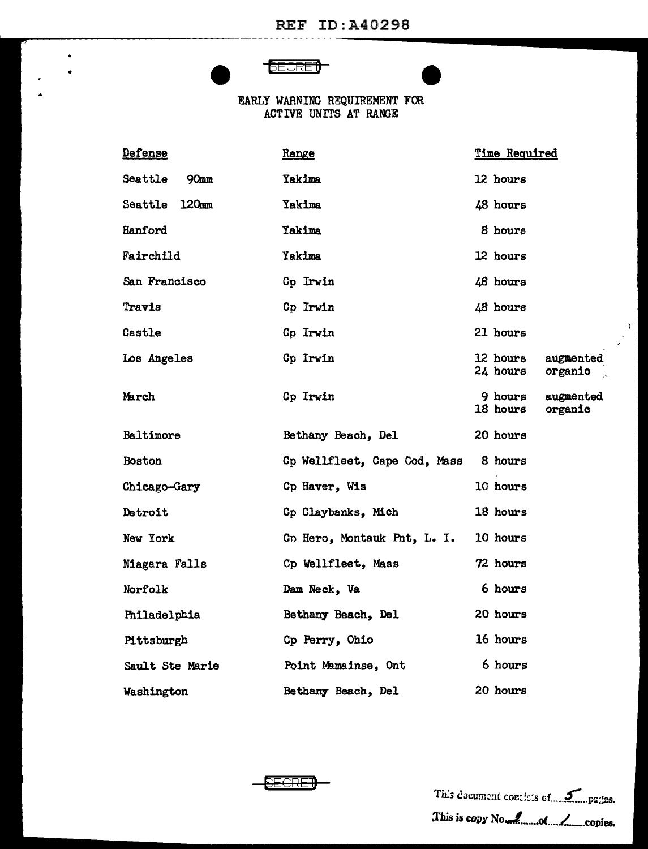## **SECRET**

•

 $\hat{\mathbf{z}}$ 

•

EARLY WARNING REQUIREMENT FOR ACTIVE UNITS AT RANGE

| Defense                     | Range                                | Time Required                                |  |  |
|-----------------------------|--------------------------------------|----------------------------------------------|--|--|
| Seattle<br>90 <sub>mm</sub> | Yakima                               | 12 hours                                     |  |  |
| Seattle 120mm               | Yakima                               | 48 hours                                     |  |  |
| Hanford                     | Yakima                               | 8 hours                                      |  |  |
| Fairchild                   | Yakima                               | 12 hours                                     |  |  |
| San Francisco               | Cp Irwin                             | 48 hours                                     |  |  |
| Travis                      | Cp Irwin                             | 48 hours                                     |  |  |
| Castle                      | Cp Irwin                             | 21 hours                                     |  |  |
| Los Angeles                 | <b>Cp Irwin</b>                      | 12 hours<br>augmented<br>24 hours<br>organic |  |  |
| March                       | Cp Irwin                             | 9 hours<br>augmented<br>18 hours<br>organic  |  |  |
| Baltimore                   | Bethany Beach, Del                   | 20 hours                                     |  |  |
| Boston                      | Cp Wellfleet, Cape Cod, Mass 8 hours |                                              |  |  |
| Chicago-Gary                | Cp Haver, Wis                        | 10 hours                                     |  |  |
| Detroit                     | Cp Claybanks, Mich                   | 18 hours                                     |  |  |
| New York                    | Cn Hero, Montauk Pnt, L. I.          | 10 hours                                     |  |  |
| <b>Niagara Falls</b>        | Cp Wellfleet, Mass                   | 72 hours                                     |  |  |
| Norfolk                     | Dam Neck, Va                         | 6 hours                                      |  |  |
| Philadelphia                | Bethany Beach, Del                   | 20 hours                                     |  |  |
| Pittsburgh                  | Cp Perry, Ohio                       | 16 hours                                     |  |  |
| Sault Ste Marie             | Point Mamainse, Ont                  | 6 hours                                      |  |  |
| Washington                  | Bethany Beach, Del                   | 20 hours                                     |  |  |

**EECRET** 

This document contiets of 5. pages. l'his i1 *topy* No.J.. .....• oL.L\_ ... copiea.

 $\frac{1}{2}$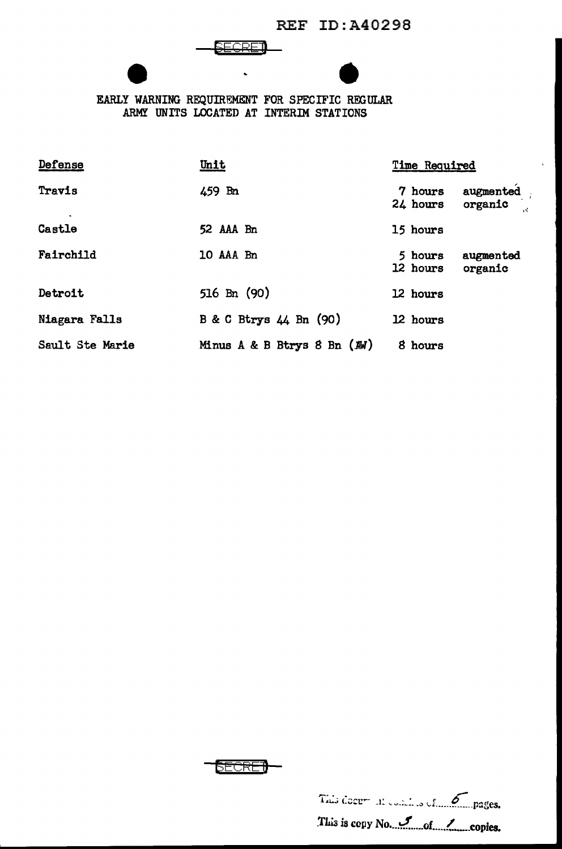REF ID:A40298

EEGRET<br>
EARLY WARNING REQUIREMENT FOR SPECIFIC REGULAR ARMY UNITS LOCATED AT INTERIM STATIONS

| Defense         | Unit                            | Time Required                               |  |
|-----------------|---------------------------------|---------------------------------------------|--|
| Travis          | 459 Bn                          | augmented<br>7 hours<br>organic<br>24 hours |  |
| Castle          | 52 AAA Bn                       | 15 hours                                    |  |
| Fairchild       | 10 AAA Bn                       | 5 hours<br>augmented<br>12 hours<br>organic |  |
| Detroit         | $516$ Bn $(90)$                 | 12 hours                                    |  |
| Niagara Falls   | B & C Btrys 44 Bn (90)          | 12 hours                                    |  |
| Sault Ste Marie | Minus $A \& B$ Btrys 8 Bn $(M)$ | 8 hours                                     |  |



This docum at continue of Compages. TL~ is ccpy No •... ~ .... of ..... 1-...... copies.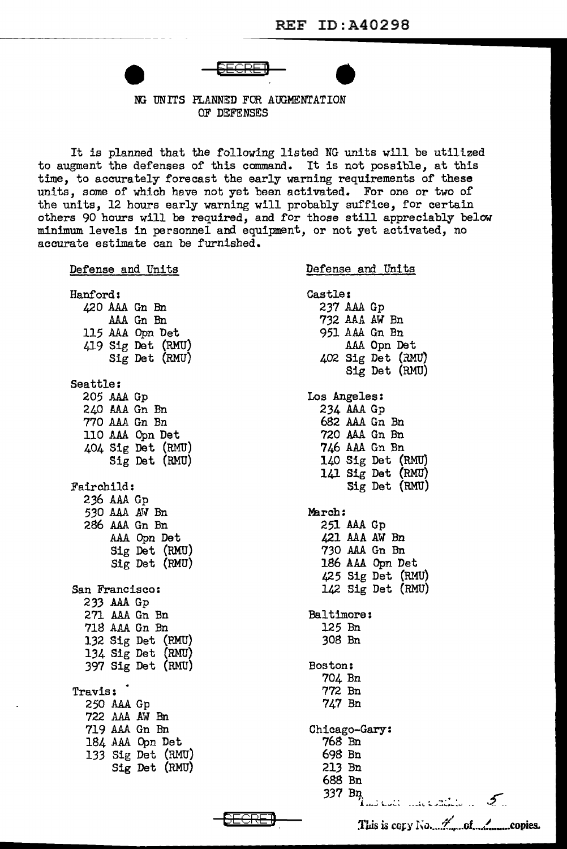NG UNITS PLANNED FOR AUGMENTATION OF DEFENSES

It is planned that the following listed NG units will be utilized to augment the defenses of this command. It is not possible, at this time, to accurately forecast the early warning requirements of these units, some of which have not yet been activated. For one or two of the units, 12 hours early warning will probably suffice, for certain others 90 hours will be required, and for those still appreciably below minimum levels in personnel and equipment, or not yet activated, no accurate estimate can be furnished.

Defense and Units Hanford: 420 AAA Gn Bn AAA Gn Bn 115 AAA Opn Det 419 Sig Det (RMU) Sig Det (RMU) Seattle: 205 AAA Gp 240 AAA Gn Bn 770 *AAA* Gn Bn 110 AAA Opn Det 404 Sig Det (RMU) Sig Det (RMU) Fairchild: 236 AAA Gp *530* AAA AW Bn 286 AAA Gn Bn AAA Opn Det Sig Det (RMU) Sig Det (RMU) San Francisco: 233 AAA Gp 271 AAA Gn Bn 718 AAA Gn Bn 132 Sig Det (RMU) 134 Sig Det (RMU) 397 Sig Det (RMU) Travis: 250 AAA Gp 722 AAA AW Bn 719 AAA Gn Bn 184 AAA Opn Det 133 Sig Det (RMU) Sig Det (RMU) **GECRE**J Defense and Units Castle: 237 AAA Gp 732 AAA AW Bn 951 AAA Gn Bn AAA Opn Det 402 Sig Det (RMU) Sig Det (RMU) Los Angeles: 234 AAA Gp 682 AAA Gn Bn 720 AAA Gn Bn 746 AAA Gn Bn 140 Sig Det (RMU} 141 Sig Det (RMU) Sig Det (RMU) March: 251 AAA Gp 421 AAA AW Bn 730 AAA Gn Bn 186 AAA Opn Det 425 Sig Det (RMU) 142 Sig Det (RMU) Baltimore: 125 Bn 308 Bn Boston: 704 Bn 772 Bn 747 Bn Chicago-Gary: 768 Bn 698 Bn 213 Bn 688 Bn 337 B:q., J. ...... ~ L. .... .:..~ r ' ~. • • • .............. .,, ................. , .... *£.*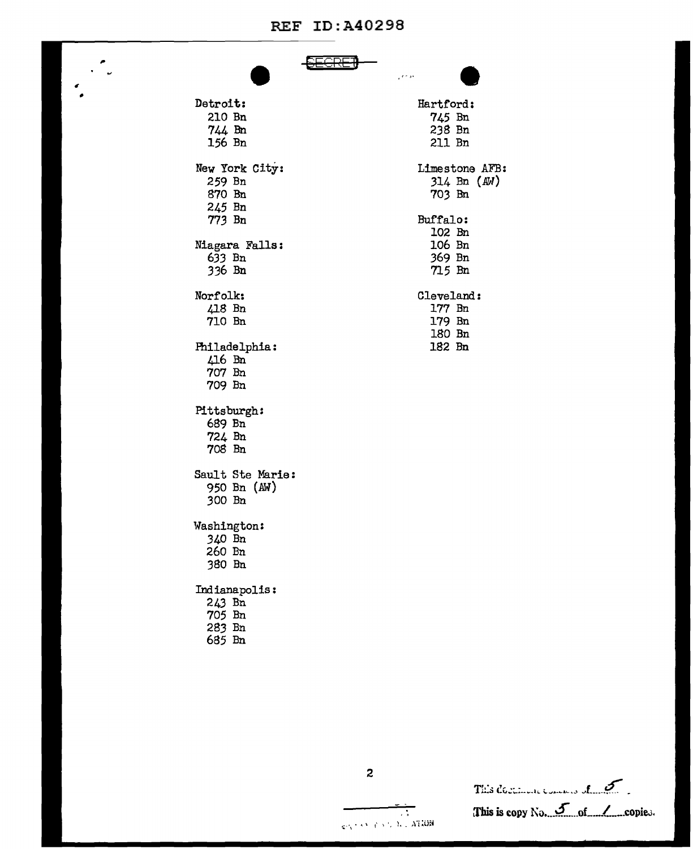## **REF ID: A40298**

 $\bullet$  $\ddot{\phantom{0}}$ 

|                  |  | وواجعي |                |  |
|------------------|--|--------|----------------|--|
| Detroit:         |  |        | Hartford:      |  |
| 210 Bn           |  |        | 745 Bn         |  |
| 744 Bn           |  |        | 238 Bn         |  |
| 156 Bn           |  |        | 211 Bn         |  |
| New York City:   |  |        | Limestone AFB: |  |
| 259 Bn           |  |        | $314$ Bn $(M)$ |  |
| 870 Bn           |  |        | 703 Bn         |  |
| 245 Bn           |  |        |                |  |
| 773 Bn           |  |        | Buffalo:       |  |
|                  |  |        | 102 Bn         |  |
| Niagara Falls:   |  |        | 106 Bn         |  |
| 633 Bn           |  |        | 369 Bn         |  |
| 336 Bn           |  |        | 715 Bn         |  |
| Norfolk:         |  |        | Cleveland:     |  |
| 418 Bn           |  |        | 177 Bn         |  |
| 710 Bn           |  |        | 179 Bn         |  |
|                  |  |        | 180 Bn         |  |
| Philadelphia:    |  |        | 182 Bn         |  |
| 416 Bn           |  |        |                |  |
| 707 Bn           |  |        |                |  |
| 709 Bn           |  |        |                |  |
| Pittsburgh:      |  |        |                |  |
| 689 Bn           |  |        |                |  |
| 724 Bn           |  |        |                |  |
| 708 Bn           |  |        |                |  |
| Sault Ste Marie: |  |        |                |  |
| 950 Bn (AW)      |  |        |                |  |
| 300 Bn           |  |        |                |  |
| Washington:      |  |        |                |  |
| 340 Bn           |  |        |                |  |
| 260 Bn           |  |        |                |  |
| 380 Bn           |  |        |                |  |
| Indianapolis:    |  |        |                |  |
| 243 Bn           |  |        |                |  |
| $705$ Bn         |  |        |                |  |
| 283 Bn           |  |        |                |  |
| 685 Bn           |  |        |                |  |
|                  |  |        |                |  |

This decimal commons of 5 This is copy No. 5 of Copies.

 $\boldsymbol{z}$